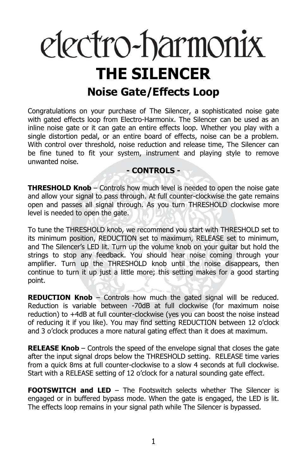# electro-harmonix **THE SILENCER Noise Gate/Effects Loop**

Congratulations on your purchase of The Silencer, a sophisticated noise gate with gated effects loop from Electro-Harmonix. The Silencer can be used as an inline noise gate or it can gate an entire effects loop. Whether you play with a single distortion pedal, or an entire board of effects, noise can be a problem. With control over threshold, noise reduction and release time, The Silencer can be fine tuned to fit your system, instrument and playing style to remove unwanted noise.

## **- CONTROLS -**

**THRESHOLD Knob** – Controls how much level is needed to open the noise gate and allow your signal to pass through. At full counter-clockwise the gate remains open and passes all signal through. As you turn THRESHOLD clockwise more level is needed to open the gate.

To tune the THRESHOLD knob, we recommend you start with THRESHOLD set to its minimum position, REDUCTION set to maximum, RELEASE set to minimum, and The Silencer's LED lit. Turn up the volume knob on your guitar but hold the strings to stop any feedback. You should hear noise coming through your amplifier. Turn up the THRESHOLD knob until the noise disappears, then continue to turn it up just a little more; this setting makes for a good starting point.

**REDUCTION Knob** – Controls how much the gated signal will be reduced. Reduction is variable between -70dB at full clockwise (for maximum noise reduction) to +4dB at full counter-clockwise (yes you can boost the noise instead of reducing it if you like). You may find setting REDUCTION between 12 o'clock and 3 o'clock produces a more natural gating effect than it does at maximum.

**RELEASE Knob** – Controls the speed of the envelope signal that closes the gate after the input signal drops below the THRESHOLD setting. RELEASE time varies from a quick 8ms at full counter-clockwise to a slow 4 seconds at full clockwise. Start with a RELEASE setting of 12 o'clock for a natural sounding gate effect.

**FOOTSWITCH and LED** – The Footswitch selects whether The Silencer is engaged or in buffered bypass mode. When the gate is engaged, the LED is lit. The effects loop remains in your signal path while The Silencer is bypassed.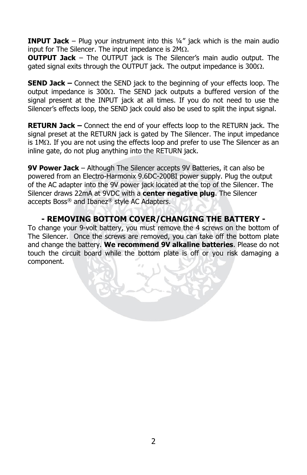**INPUT Jack** – Plug your instrument into this ¼" jack which is the main audio input for The Silencer. The input impedance is  $2M<sub>\Omega</sub>$ .

**OUTPUT Jack** – The OUTPUT jack is The Silencer's main audio output. The gated signal exits through the OUTPUT jack. The output impedance is  $300\Omega$ .

**SEND Jack –** Connect the SEND jack to the beginning of your effects loop. The output impedance is 300 $\Omega$ . The SEND jack outputs a buffered version of the signal present at the INPUT jack at all times. If you do not need to use the Silencer's effects loop, the SEND jack could also be used to split the input signal.

**RETURN Jack –** Connect the end of your effects loop to the RETURN jack. The signal preset at the RETURN jack is gated by The Silencer. The input impedance is  $1M<sub>\Omega</sub>$ . If you are not using the effects loop and prefer to use The Silencer as an inline gate, do not plug anything into the RETURN jack.

**9V Power Jack** – Although The Silencer accepts 9V Batteries, it can also be powered from an Electro-Harmonix 9.6DC-200BI power supply. Plug the output of the AC adapter into the 9V power jack located at the top of the Silencer. The Silencer draws 22mA at 9VDC with a **center negative plug**. The Silencer accepts Boss® and Ibanez® style AC Adapters.

# **- REMOVING BOTTOM COVER/CHANGING THE BATTERY -**

To change your 9-volt battery, you must remove the 4 screws on the bottom of The Silencer. Once the screws are removed, you can take off the bottom plate and change the battery. **We recommend 9V alkaline batteries**. Please do not touch the circuit board while the bottom plate is off or you risk damaging a component.